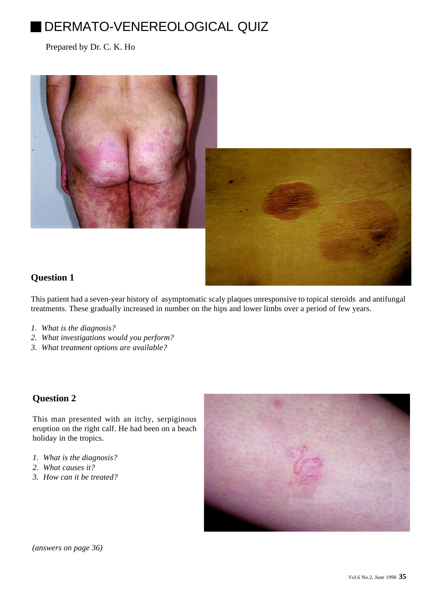# DERMATO-VENEREOLOGICAL QUIZ

Prepared by Dr. C. K. Ho



## **Question 1**

This patient had a seven-year history of asymptomatic scaly plaques unresponsive to topical steroids and antifungal treatments. These gradually increased in number on the hips and lower limbs over a period of few years.

- *1. What is the diagnosis?*
- *2. What investigations would you perform?*
- *3. What treatment options are available?*

## **Question 2**

This man presented with an itchy, serpiginous eruption on the right calf. He had been on a beach holiday in the tropics.

- *1. What is the diagnosis?*
- *2. What causes it?*
- *3. How can it be treated?*